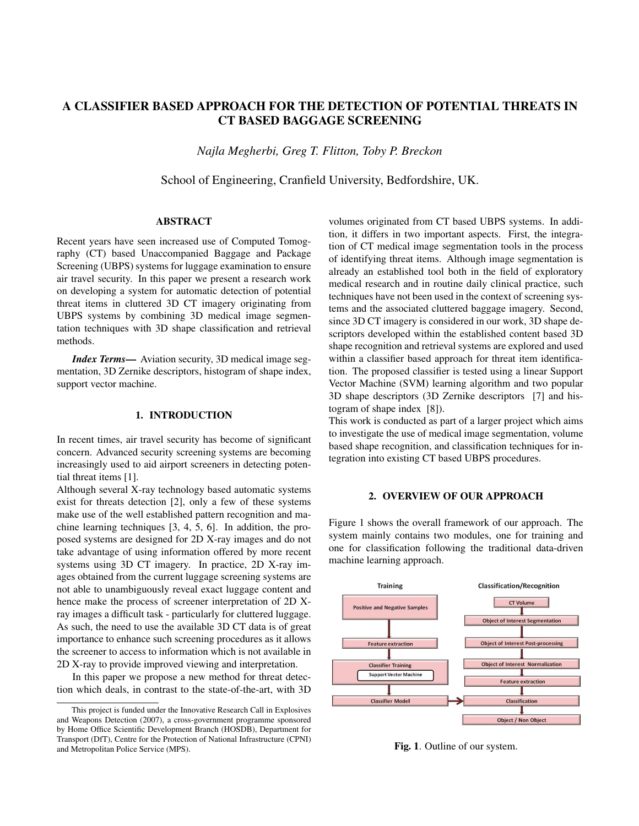# A CLASSIFIER BASED APPROACH FOR THE DETECTION OF POTENTIAL THREATS IN CT BASED BAGGAGE SCREENING

*Najla Megherbi, Greg T. Flitton, Toby P. Breckon*

School of Engineering, Cranfield University, Bedfordshire, UK.

### ABSTRACT

Recent years have seen increased use of Computed Tomography (CT) based Unaccompanied Baggage and Package Screening (UBPS) systems for luggage examination to ensure air travel security. In this paper we present a research work on developing a system for automatic detection of potential threat items in cluttered 3D CT imagery originating from UBPS systems by combining 3D medical image segmentation techniques with 3D shape classification and retrieval methods.

*Index Terms*— Aviation security, 3D medical image segmentation, 3D Zernike descriptors, histogram of shape index, support vector machine.

## 1. INTRODUCTION

In recent times, air travel security has become of significant concern. Advanced security screening systems are becoming increasingly used to aid airport screeners in detecting potential threat items [1].

Although several X-ray technology based automatic systems exist for threats detection [2], only a few of these systems make use of the well established pattern recognition and machine learning techniques [3, 4, 5, 6]. In addition, the proposed systems are designed for 2D X-ray images and do not take advantage of using information offered by more recent systems using 3D CT imagery. In practice, 2D X-ray images obtained from the current luggage screening systems are not able to unambiguously reveal exact luggage content and hence make the process of screener interpretation of 2D Xray images a difficult task - particularly for cluttered luggage. As such, the need to use the available 3D CT data is of great importance to enhance such screening procedures as it allows the screener to access to information which is not available in 2D X-ray to provide improved viewing and interpretation.

In this paper we propose a new method for threat detection which deals, in contrast to the state-of-the-art, with 3D volumes originated from CT based UBPS systems. In addition, it differs in two important aspects. First, the integration of CT medical image segmentation tools in the process of identifying threat items. Although image segmentation is already an established tool both in the field of exploratory medical research and in routine daily clinical practice, such techniques have not been used in the context of screening systems and the associated cluttered baggage imagery. Second, since 3D CT imagery is considered in our work, 3D shape descriptors developed within the established content based 3D shape recognition and retrieval systems are explored and used within a classifier based approach for threat item identification. The proposed classifier is tested using a linear Support Vector Machine (SVM) learning algorithm and two popular 3D shape descriptors (3D Zernike descriptors [7] and histogram of shape index [8]).

This work is conducted as part of a larger project which aims to investigate the use of medical image segmentation, volume based shape recognition, and classification techniques for integration into existing CT based UBPS procedures.

## 2. OVERVIEW OF OUR APPROACH

Figure 1 shows the overall framework of our approach. The system mainly contains two modules, one for training and one for classification following the traditional data-driven machine learning approach.



Fig. 1. Outline of our system.

This project is funded under the Innovative Research Call in Explosives and Weapons Detection (2007), a cross-government programme sponsored by Home Office Scientific Development Branch (HOSDB), Department for Transport (DfT), Centre for the Protection of National Infrastructure (CPNI) and Metropolitan Police Service (MPS).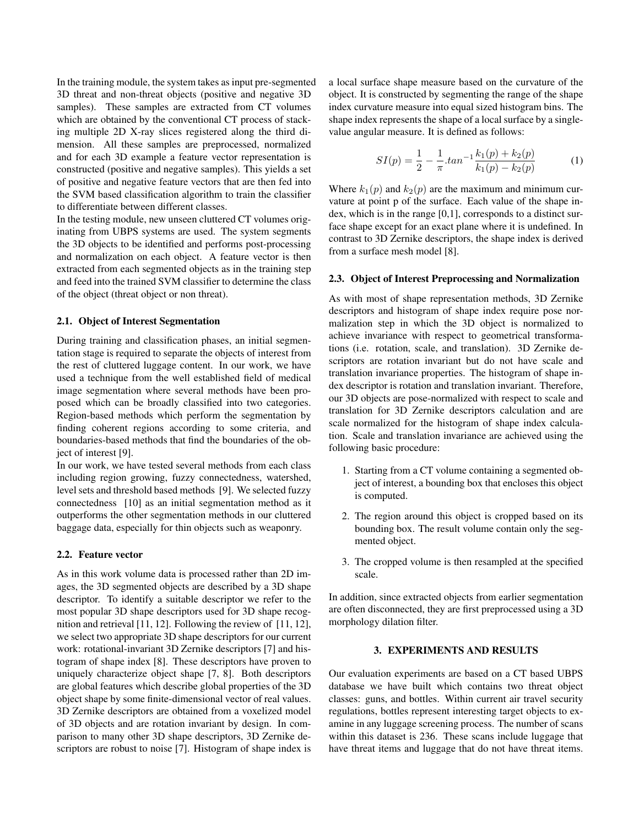In the training module, the system takes as input pre-segmented 3D threat and non-threat objects (positive and negative 3D samples). These samples are extracted from CT volumes which are obtained by the conventional CT process of stacking multiple 2D X-ray slices registered along the third dimension. All these samples are preprocessed, normalized and for each 3D example a feature vector representation is constructed (positive and negative samples). This yields a set of positive and negative feature vectors that are then fed into the SVM based classification algorithm to train the classifier to differentiate between different classes.

In the testing module, new unseen cluttered CT volumes originating from UBPS systems are used. The system segments the 3D objects to be identified and performs post-processing and normalization on each object. A feature vector is then extracted from each segmented objects as in the training step and feed into the trained SVM classifier to determine the class of the object (threat object or non threat).

#### 2.1. Object of Interest Segmentation

During training and classification phases, an initial segmentation stage is required to separate the objects of interest from the rest of cluttered luggage content. In our work, we have used a technique from the well established field of medical image segmentation where several methods have been proposed which can be broadly classified into two categories. Region-based methods which perform the segmentation by finding coherent regions according to some criteria, and boundaries-based methods that find the boundaries of the object of interest [9].

In our work, we have tested several methods from each class including region growing, fuzzy connectedness, watershed, level sets and threshold based methods [9]. We selected fuzzy connectedness [10] as an initial segmentation method as it outperforms the other segmentation methods in our cluttered baggage data, especially for thin objects such as weaponry.

#### 2.2. Feature vector

As in this work volume data is processed rather than 2D images, the 3D segmented objects are described by a 3D shape descriptor. To identify a suitable descriptor we refer to the most popular 3D shape descriptors used for 3D shape recognition and retrieval [11, 12]. Following the review of [11, 12], we select two appropriate 3D shape descriptors for our current work: rotational-invariant 3D Zernike descriptors [7] and histogram of shape index [8]. These descriptors have proven to uniquely characterize object shape [7, 8]. Both descriptors are global features which describe global properties of the 3D object shape by some finite-dimensional vector of real values. 3D Zernike descriptors are obtained from a voxelized model of 3D objects and are rotation invariant by design. In comparison to many other 3D shape descriptors, 3D Zernike descriptors are robust to noise [7]. Histogram of shape index is a local surface shape measure based on the curvature of the object. It is constructed by segmenting the range of the shape index curvature measure into equal sized histogram bins. The shape index represents the shape of a local surface by a singlevalue angular measure. It is defined as follows:

$$
SI(p) = \frac{1}{2} - \frac{1}{\pi} \cdot \tan^{-1} \frac{k_1(p) + k_2(p)}{k_1(p) - k_2(p)} \tag{1}
$$

Where  $k_1(p)$  and  $k_2(p)$  are the maximum and minimum curvature at point p of the surface. Each value of the shape index, which is in the range [0,1], corresponds to a distinct surface shape except for an exact plane where it is undefined. In contrast to 3D Zernike descriptors, the shape index is derived from a surface mesh model [8].

## 2.3. Object of Interest Preprocessing and Normalization

As with most of shape representation methods, 3D Zernike descriptors and histogram of shape index require pose normalization step in which the 3D object is normalized to achieve invariance with respect to geometrical transformations (i.e. rotation, scale, and translation). 3D Zernike descriptors are rotation invariant but do not have scale and translation invariance properties. The histogram of shape index descriptor is rotation and translation invariant. Therefore, our 3D objects are pose-normalized with respect to scale and translation for 3D Zernike descriptors calculation and are scale normalized for the histogram of shape index calculation. Scale and translation invariance are achieved using the following basic procedure:

- 1. Starting from a CT volume containing a segmented object of interest, a bounding box that encloses this object is computed.
- 2. The region around this object is cropped based on its bounding box. The result volume contain only the segmented object.
- 3. The cropped volume is then resampled at the specified scale.

In addition, since extracted objects from earlier segmentation are often disconnected, they are first preprocessed using a 3D morphology dilation filter.

## 3. EXPERIMENTS AND RESULTS

Our evaluation experiments are based on a CT based UBPS database we have built which contains two threat object classes: guns, and bottles. Within current air travel security regulations, bottles represent interesting target objects to examine in any luggage screening process. The number of scans within this dataset is 236. These scans include luggage that have threat items and luggage that do not have threat items.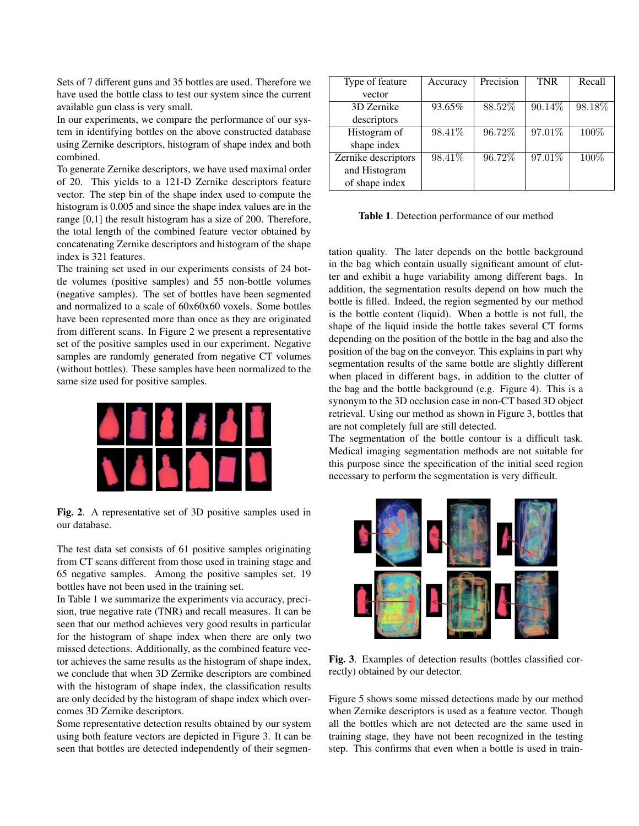Sets of 7 different guns and 35 bottles are used. Therefore we have used the bottle class to test our system since the current available gun class is very small.

In our experiments, we compare the performance of our system in identifying bottles on the above constructed database using Zernike descriptors, histogram of shape index and both combined.

To generate Zernike descriptors, we have used maximal order of 20. This yields to a 121-D Zernike descriptors feature vector. The step bin of the shape index used to compute the histogram is 0.005 and since the shape index values are in the range [0,1] the result histogram has a size of 200. Therefore, the total length of the combined feature vector obtained by concatenating Zernike descriptors and histogram of the shape index is 321 features.

The training set used in our experiments consists of 24 bottle volumes (positive samples) and 55 non-bottle volumes (negative samples). The set of bottles have been segmented and normalized to a scale of 60x60x60 voxels. Some bottles have been represented more than once as they are originated from different scans. In Figure 2 we present a representative set of the positive samples used in our experiment. Negative samples are randomly generated from negative CT volumes (without bottles). These samples have been normalized to the same size used for positive samples.



Fig. 2. A representative set of 3D positive samples used in our database.

The test data set consists of 61 positive samples originating from CT scans different from those used in training stage and 65 negative samples. Among the positive samples set, 19 bottles have not been used in the training set.

In Table 1 we summarize the experiments via accuracy, precision, true negative rate (TNR) and recall measures. It can be seen that our method achieves very good results in particular for the histogram of shape index when there are only two missed detections. Additionally, as the combined feature vector achieves the same results as the histogram of shape index, we conclude that when 3D Zernike descriptors are combined with the histogram of shape index, the classification results are only decided by the histogram of shape index which overcomes 3D Zernike descriptors.

Some representative detection results obtained by our system using both feature vectors are depicted in Figure 3. It can be seen that bottles are detected independently of their segmen-

| Type of feature     | Accuracy | Precision | <b>TNR</b> | Recall |
|---------------------|----------|-----------|------------|--------|
| vector              |          |           |            |        |
| 3D Zernike          | 93.65%   | 88.52%    | 90.14%     | 98.18% |
| descriptors         |          |           |            |        |
| Histogram of        | 98.41\%  | 96.72%    | 97.01%     | 100\%  |
| shape index         |          |           |            |        |
| Zernike descriptors | 98.41\%  | 96.72%    | 97.01%     | 100%   |
| and Histogram       |          |           |            |        |
| of shape index      |          |           |            |        |

Table 1. Detection performance of our method

tation quality. The later depends on the bottle background in the bag which contain usually significant amount of clutter and exhibit a huge variability among different bags. In addition, the segmentation results depend on how much the bottle is filled. Indeed, the region segmented by our method is the bottle content (liquid). When a bottle is not full, the shape of the liquid inside the bottle takes several CT forms depending on the position of the bottle in the bag and also the position of the bag on the conveyor. This explains in part why segmentation results of the same bottle are slightly different when placed in different bags, in addition to the clutter of the bag and the bottle background (e.g. Figure 4). This is a synonym to the 3D occlusion case in non-CT based 3D object retrieval. Using our method as shown in Figure 3, bottles that are not completely full are still detected.

The segmentation of the bottle contour is a difficult task. Medical imaging segmentation methods are not suitable for this purpose since the specification of the initial seed region necessary to perform the segmentation is very difficult.



Fig. 3. Examples of detection results (bottles classified correctly) obtained by our detector.

Figure 5 shows some missed detections made by our method when Zernike descriptors is used as a feature vector. Though all the bottles which are not detected are the same used in training stage, they have not been recognized in the testing step. This confirms that even when a bottle is used in train-